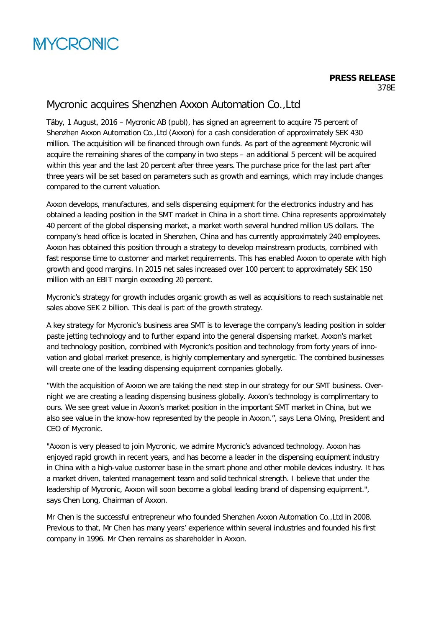# **MYCRONIC**

# Mycronic acquires Shenzhen Axxon Automation Co.,Ltd

Täby, 1 August, 2016 – Mycronic AB (publ), has signed an agreement to acquire 75 percent of Shenzhen Axxon Automation Co.,Ltd (Axxon) for a cash consideration of approximately SEK 430 million. The acquisition will be financed through own funds. As part of the agreement Mycronic will acquire the remaining shares of the company in two steps – an additional 5 percent will be acquired within this year and the last 20 percent after three years. The purchase price for the last part after three years will be set based on parameters such as growth and earnings, which may include changes compared to the current valuation.

Axxon develops, manufactures, and sells dispensing equipment for the electronics industry and has obtained a leading position in the SMT market in China in a short time. China represents approximately 40 percent of the global dispensing market, a market worth several hundred million US dollars. The company's head office is located in Shenzhen, China and has currently approximately 240 employees. Axxon has obtained this position through a strategy to develop mainstream products, combined with fast response time to customer and market requirements. This has enabled Axxon to operate with high growth and good margins. In 2015 net sales increased over 100 percent to approximately SEK 150 million with an EBIT margin exceeding 20 percent.

Mycronic's strategy for growth includes organic growth as well as acquisitions to reach sustainable net sales above SEK 2 billion. This deal is part of the growth strategy.

A key strategy for Mycronic's business area SMT is to leverage the company's leading position in solder paste jetting technology and to further expand into the general dispensing market. Axxon's market and technology position, combined with Mycronic's position and technology from forty years of innovation and global market presence, is highly complementary and synergetic. The combined businesses will create one of the leading dispensing equipment companies globally.

"With the acquisition of Axxon we are taking the next step in our strategy for our SMT business. Overnight we are creating a leading dispensing business globally. Axxon's technology is complimentary to ours. We see great value in Axxon's market position in the important SMT market in China, but we also see value in the know-how represented by the people in Axxon.", says Lena Olving, President and CEO of Mycronic.

"Axxon is very pleased to join Mycronic, we admire Mycronic's advanced technology. Axxon has enjoyed rapid growth in recent years, and has become a leader in the dispensing equipment industry in China with a high-value customer base in the smart phone and other mobile devices industry. It has a market driven, talented management team and solid technical strength. I believe that under the leadership of Mycronic, Axxon will soon become a global leading brand of dispensing equipment.", says Chen Long, Chairman of Axxon.

Mr Chen is the successful entrepreneur who founded Shenzhen Axxon Automation Co.,Ltd in 2008. Previous to that, Mr Chen has many years' experience within several industries and founded his first company in 1996. Mr Chen remains as shareholder in Axxon.